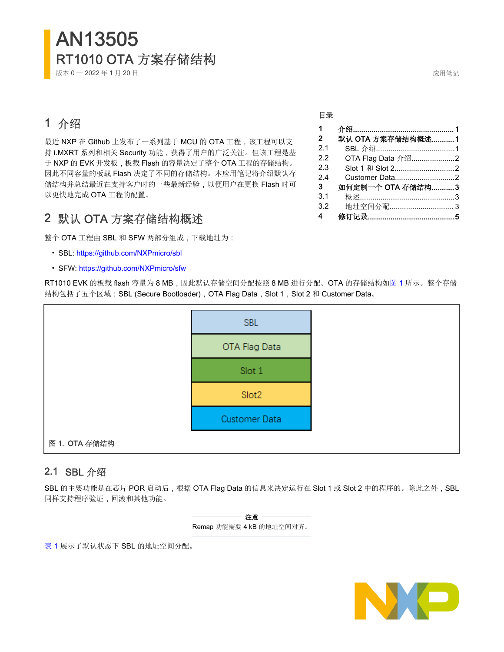# AN13505 RT1010 OTA 方案存储结构

版本 0 - 2022 年 1 月 20 日 20 0 日 2022 年 1 月 20 日 2022 年 1 月 20 日 2022 年 1 月 20 日 2022 年 1 月 20 日 2022 年 2 日 2022 年 2 日 2022 年 2 日 2022 年 2 日 2022 年 2 日 2022 年 2 日 2022 年 2 日 2022 年 2 日 2022 年 2 日 2022 年 2 日 2022 年 2 日 2022 年

## 1 介绍

最近 NXP 在 Github 上发布了一系列基于 MCU 的 OTA 工程, 该工程可以支 持 i.MXRT 系列和相关 Security 功能,获得了用户的广泛关注。但该工程是基 于 NXP 的 EVK 开发板, 板载 Flash 的容量决定了整个 OTA 工程的存储结构。 因此不同容量的板载 Flash 决定了不同的存储结构。本应用笔记将介绍默认存 储结构并总结最近在支持客户时的一些最新经验,以便用户在更换 Flash 时可 以更快地完成 OTA 工程的配置。

## 2 默认 OTA 方案存储结构概述

整个 OTA 工程由 SBL 和 SFW 两部分组成,下载地址为:

- SBL:<https://github.com/NXPmicro/sbl>
- SFW:<https://github.com/NXPmicro/sfw>

RT1010 EVK 的板载 flash 容量为 8 MB, 因此默认存储空间分配按照 8 MB 进行分配。OTA 的存储结构如图 1 所示。整个存储 结构包括了五个区域: SBL (Secure Bootloader), OTA Flag Data, Slot 1, Slot 2 和 Customer Data。



### 2.1 SBL 介绍

SBL 的主要功能是在芯片 POR 启动后, 根据 OTA Flag Data 的信息来决定运行在 Slot 1 或 Slot 2 中的程序的。除此之外, SBL 同样支持程序验证,回滚和其他功能。



[表](#page-1-0) 1 展示了默认状态下 SBL 的地址空间分配。



#### 目录

| 1<br>$\overline{2}$ | 默认 OTA 方案存储结构概述  1 |  |
|---------------------|--------------------|--|
|                     |                    |  |
| 2.1                 |                    |  |
| 2.2                 | OTA Flag Data 介绍2  |  |
| 2.3                 | Slot 1 和 Slot 22   |  |
| 2.4                 | Customer Data2     |  |
| 3                   | 如何定制一个 OTA 存储结构3   |  |
| 3.1                 |                    |  |
| 3.2                 |                    |  |
| 4                   |                    |  |
|                     |                    |  |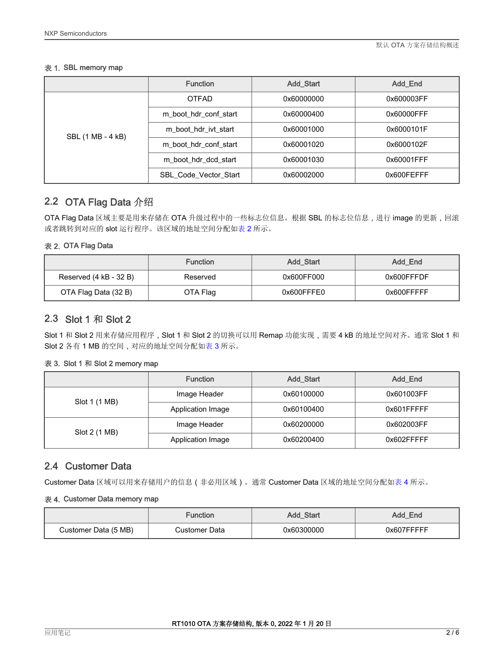#### <span id="page-1-0"></span>表 1. SBL memory map

|                   | <b>Function</b>              | <b>Add Start</b> | Add End    |
|-------------------|------------------------------|------------------|------------|
|                   | <b>OTFAD</b>                 | 0x60000000       | 0x600003FF |
|                   | m boot hdr conf start        | 0x60000400       | 0x60000FFF |
| SBL (1 MB - 4 kB) | m boot hdr ivt start         | 0x60001000       | 0x6000101F |
|                   | m boot hdr conf start        | 0x60001020       | 0x6000102F |
|                   | m boot hdr dcd start         | 0x60001030       | 0x60001FFF |
|                   | <b>SBL Code Vector Start</b> | 0x60002000       | 0x600FEFFF |

### 2.2 OTA Flag Data 介绍

OTA Flag Data 区域主要是用来存储在 OTA 升级过程中的一些标志位信息。根据 SBL 的标志位信息, 进行 image 的更新, 回滚 或者跳转到对应的 slot 运行程序。该区域的地址空间分配如表 2 所示。

#### 表 2. OTA Flag Data

|                        | <b>Function</b> | <b>Add Start</b> | Add End    |
|------------------------|-----------------|------------------|------------|
| Reserved (4 kB - 32 B) | Reserved        | 0x600FF000       | 0x600FFFDF |
| OTA Flag Data (32 B)   | OTA Flag        | 0x600FFFE0       | 0x600FFFFF |

### 2.3 Slot 1 和 Slot 2

Slot 1 和 Slot 2 用来存储应用程序, Slot 1 和 Slot 2 的切换可以用 Remap 功能实现,需要 4 kB 的地址空间对齐。通常 Slot 1 和 Slot 2 各有 1 MB 的空间,对应的地址空间分配如表 3 所示。

#### 表 3. Slot 1 和 Slot 2 memory map

|               | <b>Function</b>   | <b>Add Start</b> | Add_End    |
|---------------|-------------------|------------------|------------|
|               | Image Header      | 0x60100000       | 0x601003FF |
| Slot 1 (1 MB) | Application Image | 0x60100400       | 0x601FFFFF |
|               | Image Header      | 0x60200000       | 0x602003FF |
| Slot 2 (1 MB) | Application Image | 0x60200400       | 0x602FFFFF |

### 2.4 Customer Data

Customer Data 区域可以用来存储用户的信息(非必用区域)。通常 Customer Data 区域的地址空间分配如表 4 所示。

#### 表 4. Customer Data memory map

|                      | Function      | <b>Add Start</b> | Add End    |
|----------------------|---------------|------------------|------------|
| Customer Data (5 MB) | Customer Data | 0x60300000       | 0x607FFFFF |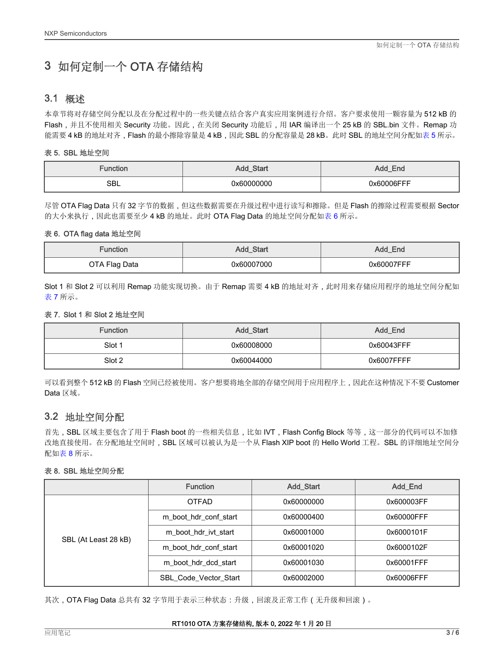## <span id="page-2-0"></span>3 如何定制一个 OTA 存储结构

### 3.1 概述

本章节将对存储空间分配以及在分配过程中的一些关键点结合客户真实应用案例进行介绍。客户要求使用一颗容量为 512 kB 的 Flash,并且不使用相关 Security 功能。因此,在关闭 Security 功能后,用 IAR 编译出一个 25 kB 的 SBL.bin 文件。Remap 功 能需要 4 kB 的地址对齐, Flash 的最小擦除容量是 4 kB, 因此 SBL 的分配容量是 28 kB。此时 SBL 的地址空间分配如表 5 所示。

#### 表 5. SBL 地址空间

| unction    | Start<br>A00 | Add Ena    |
|------------|--------------|------------|
| <b>SBL</b> | 0x60000000   | 0x60006FFF |

尽管 OTA Flag Data 只有 32 字节的数据,但这些数据需要在升级过程中进行读写和擦除。但是 Flash 的擦除过程需要根据 Sector 的大小来执行,因此也需要至少 4 kB 的地址。此时 OTA Flag Data 的地址空间分配如表 6 所示。

#### 表 6. OTA flag data 地址空间

| Function      | Add_Start  | Add_End    |
|---------------|------------|------------|
| OTA Flag Data | 0x60007000 | 0x60007FFF |

Slot 1 和 Slot 2 可以利用 Remap 功能实现切换。由于 Remap 需要 4 kB 的地址对齐, 此时用来存储应用程序的地址空间分配如 表 7 所示。

#### 表 7. Slot 1 和 Slot 2 地址空间

| <b>Function</b> | <b>Add Start</b> | Add End    |
|-----------------|------------------|------------|
| Slot 1          | 0x60008000       | 0x60043FFF |
| Slot 2          | 0x60044000       | 0x6007FFFF |

可以看到整个 512 kB 的 Flash 空间已经被使用。客户想要将地全部的存储空间用于应用程序上,因此在这种情况下不要 Customer Data 区域。

### 3.2 地址空间分配

首先, SBL 区域主要包含了用于 Flash boot 的一些相关信息, 比如 IVT, Flash Config Block 等等, 这一部分的代码可以不加修 改地直接使用。在分配地址空间时,SBL 区域可以被认为是一个从 Flash XIP boot 的 Hello World 工程。SBL 的详细地址空间分 配如表 8 所示。

#### 表 8. SBL 地址空间分配

|                      | <b>Function</b>              | Add_Start  | Add_End    |
|----------------------|------------------------------|------------|------------|
|                      | <b>OTFAD</b>                 | 0x60000000 | 0x600003FF |
|                      | m boot hdr conf start        | 0x60000400 | 0x60000FFF |
| SBL (At Least 28 kB) | m boot hdr ivt start         | 0x60001000 | 0x6000101F |
|                      | m boot hdr conf start        | 0x60001020 | 0x6000102F |
|                      | m boot hdr dcd start         | 0x60001030 | 0x60001FFF |
|                      | <b>SBL Code Vector Start</b> | 0x60002000 | 0x60006FFF |

其次,OTA Flag Data 总共有 32 字节用于表示三种状态:升级,回滚及正常工作 (无升级和回滚)。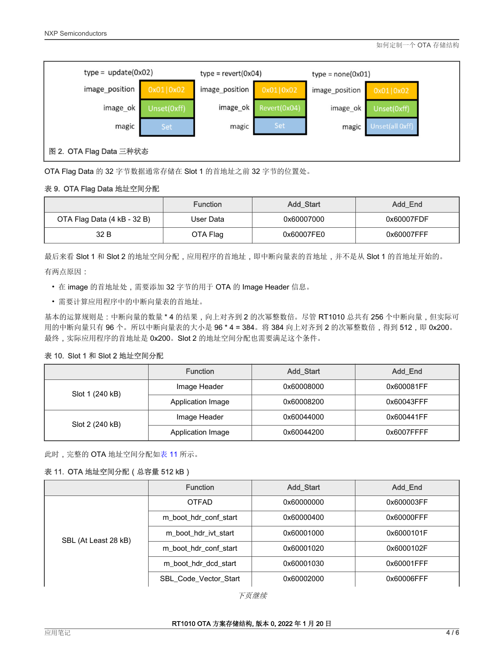

OTA Flag Data 的 32 字节数据通常存储在 Slot 1 的首地址之前 32 字节的位置处。

#### 表 9. OTA Flag Data 地址空间分配

|                             | <b>Function</b> | <b>Add Start</b> | Add_End    |
|-----------------------------|-----------------|------------------|------------|
| OTA Flag Data (4 kB - 32 B) | User Data       | 0x60007000       | 0x60007FDF |
| 32 B                        | OTA Flag        | 0x60007FE0       | 0x60007FFF |

最后来看 Slot 1 和 Slot 2 的地址空间分配,应用程序的首地址,即中断向量表的首地址,并不是从 Slot 1 的首地址开始的。 有两点原因:

- 在 image 的首地址处,需要添加 32 字节的用于 OTA 的 Image Header 信息。
- 需要计算应用程序中的中断向量表的首地址。

基本的运算规则是:中断向量的数量 \* 4 的结果, 向上对齐到 2 的次幂整数倍。尽管 RT1010 总共有 256 个中断向量, 但实际可 用的中断向量只有 96个。所以中断向量表的大小是 96 \* 4 = 384。将 384 向上对齐到 2 的次幂整数倍, 得到 512, 即 0x200。 最终,实际应用程序的首地址是 0x200。Slot 2 的地址空间分配也需要满足这个条件。

#### 表 10. Slot 1 和 Slot 2 地址空间分配

|                 | <b>Function</b>   | <b>Add Start</b> | Add End    |
|-----------------|-------------------|------------------|------------|
| Slot 1 (240 kB) | Image Header      | 0x60008000       | 0x600081FF |
|                 | Application Image | 0x60008200       | 0x60043FFF |
|                 | Image Header      | 0x60044000       | 0x600441FF |
| Slot 2 (240 kB) | Application Image | 0x60044200       | 0x6007FFFF |

此时,完整的 OTA 地址空间分配如表 11 所示。

#### 表 11. OTA 地址空间分配(总容量 512 kB)

|                      | <b>Function</b>              | <b>Add Start</b> | Add End    |
|----------------------|------------------------------|------------------|------------|
|                      | <b>OTFAD</b>                 | 0x60000000       | 0x600003FF |
|                      | m boot hdr conf start        | 0x60000400       | 0x60000FFF |
| SBL (At Least 28 kB) | m boot hdr ivt start         | 0x60001000       | 0x6000101F |
|                      | m boot hdr conf start        | 0x60001020       | 0x6000102F |
|                      | m boot hdr dcd start         | 0x60001030       | 0x60001FFF |
|                      | <b>SBL Code Vector Start</b> | 0x60002000       | 0x60006FFF |

下页继续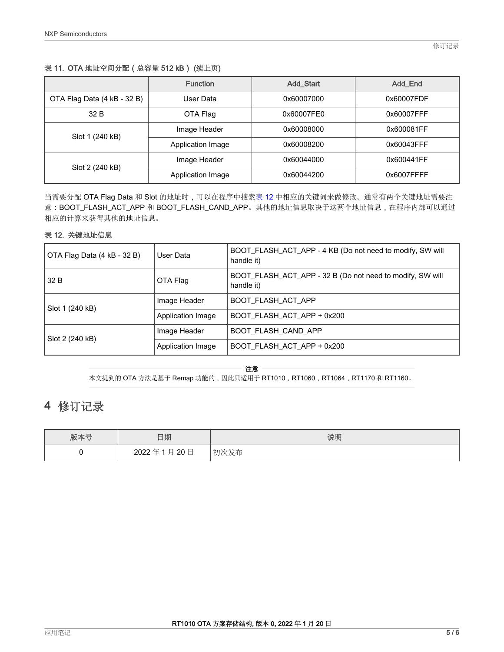#### <span id="page-4-0"></span>表 11. OTA 地址空间分配(总容量 512 kB) (续上页)

|                             | <b>Function</b>   | <b>Add Start</b> | Add End    |
|-----------------------------|-------------------|------------------|------------|
| OTA Flag Data (4 kB - 32 B) | User Data         | 0x60007000       | 0x60007FDF |
| 32 B                        | OTA Flag          | 0x60007FE0       | 0x60007FFF |
| Slot 1 (240 kB)             | Image Header      | 0x60008000       | 0x600081FF |
|                             | Application Image | 0x60008200       | 0x60043FFF |
| Slot 2 (240 kB)             | Image Header      | 0x60044000       | 0x600441FF |
|                             | Application Image | 0x60044200       | 0x6007FFFF |

当需要分配 OTA Flag Data 和 Slot 的地址时,可以在程序中搜索表 12 中相应的关键词来做修改。通常有两个关键地址需要注 意: BOOT\_FLASH\_ACT\_APP 和 BOOT\_FLASH\_CAND\_APP。其他的地址信息取决于这两个地址信息, 在程序内部可以通过 相应的计算来获得其他的地址信息。

#### 表 12. 关键地址信息

| OTA Flag Data (4 kB - 32 B) | User Data         | BOOT_FLASH_ACT_APP - 4 KB (Do not need to modify, SW will<br>handle it) |
|-----------------------------|-------------------|-------------------------------------------------------------------------|
| 32 B                        | OTA Flag          | BOOT_FLASH_ACT_APP - 32 B (Do not need to modify, SW will<br>handle it) |
| Slot 1 (240 kB)             | Image Header      | BOOT FLASH ACT APP                                                      |
|                             | Application Image | BOOT FLASH ACT APP + 0x200                                              |
| Slot 2 (240 kB)             | Image Header      | <b>BOOT FLASH CAND APP</b>                                              |
|                             | Application Image | BOOT_FLASH_ACT_APP + 0x200                                              |

注意

本文提到的 OTA 方法是基于 Remap 功能的,因此只适用于 RT1010,RT1060,RT1064,RT1170 和 RT1160。

### 4 修订记录

| 版本号 | 日期           | 说明   |
|-----|--------------|------|
|     | 20日<br>2022年 | 初次发布 |